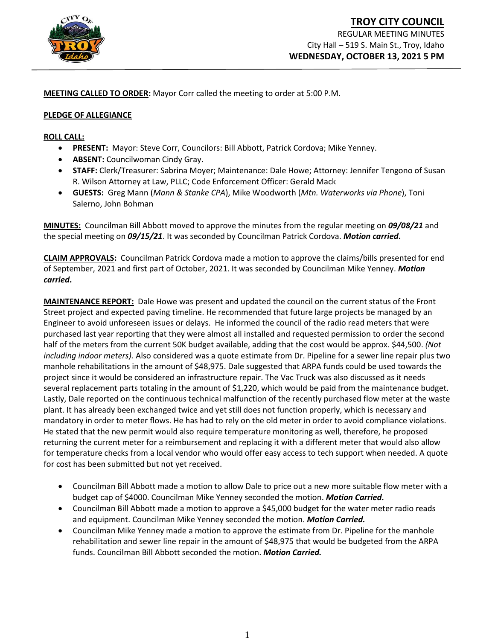

**MEETING CALLED TO ORDER:** Mayor Corr called the meeting to order at 5:00 P.M.

### **PLEDGE OF ALLEGIANCE**

#### **ROLL CALL:**

- **PRESENT:** Mayor: Steve Corr, Councilors: Bill Abbott, Patrick Cordova; Mike Yenney.
- **ABSENT:** Councilwoman Cindy Gray.
- **STAFF:** Clerk/Treasurer: Sabrina Moyer; Maintenance: Dale Howe; Attorney: Jennifer Tengono of Susan R. Wilson Attorney at Law, PLLC; Code Enforcement Officer: Gerald Mack
- **GUESTS:** Greg Mann (*Mann & Stanke CPA*), Mike Woodworth (*Mtn. Waterworks via Phone*), Toni Salerno, John Bohman

**MINUTES:** Councilman Bill Abbott moved to approve the minutes from the regular meeting on *09/08/21* and the special meeting on *09/15/21*. It was seconded by Councilman Patrick Cordova. *Motion carried***.**

**CLAIM APPROVALS:** Councilman Patrick Cordova made a motion to approve the claims/bills presented for end of September, 2021 and first part of October, 2021. It was seconded by Councilman Mike Yenney. *Motion carried***.**

**MAINTENANCE REPORT:** Dale Howe was present and updated the council on the current status of the Front Street project and expected paving timeline. He recommended that future large projects be managed by an Engineer to avoid unforeseen issues or delays. He informed the council of the radio read meters that were purchased last year reporting that they were almost all installed and requested permission to order the second half of the meters from the current 50K budget available, adding that the cost would be approx. \$44,500. *(Not including indoor meters).* Also considered was a quote estimate from Dr. Pipeline for a sewer line repair plus two manhole rehabilitations in the amount of \$48,975. Dale suggested that ARPA funds could be used towards the project since it would be considered an infrastructure repair. The Vac Truck was also discussed as it needs several replacement parts totaling in the amount of \$1,220, which would be paid from the maintenance budget. Lastly, Dale reported on the continuous technical malfunction of the recently purchased flow meter at the waste plant. It has already been exchanged twice and yet still does not function properly, which is necessary and mandatory in order to meter flows. He has had to rely on the old meter in order to avoid compliance violations. He stated that the new permit would also require temperature monitoring as well, therefore, he proposed returning the current meter for a reimbursement and replacing it with a different meter that would also allow for temperature checks from a local vendor who would offer easy access to tech support when needed. A quote for cost has been submitted but not yet received.

- Councilman Bill Abbott made a motion to allow Dale to price out a new more suitable flow meter with a budget cap of \$4000. Councilman Mike Yenney seconded the motion. *Motion Carried.*
- Councilman Bill Abbott made a motion to approve a \$45,000 budget for the water meter radio reads and equipment. Councilman Mike Yenney seconded the motion. *Motion Carried.*
- Councilman Mike Yenney made a motion to approve the estimate from Dr. Pipeline for the manhole rehabilitation and sewer line repair in the amount of \$48,975 that would be budgeted from the ARPA funds. Councilman Bill Abbott seconded the motion. *Motion Carried.*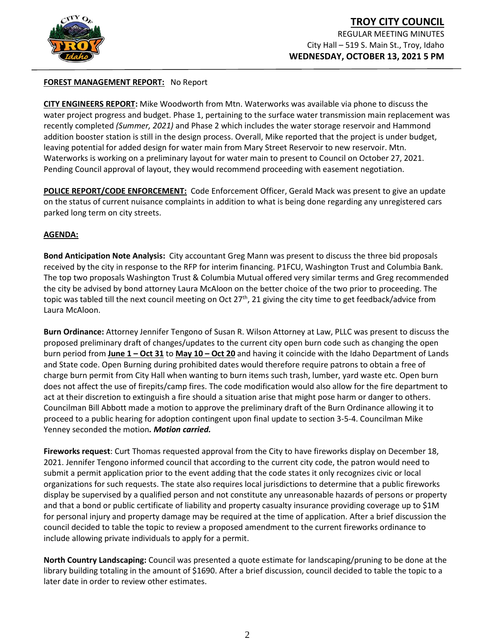

# **TROY CITY COUNCIL** REGULAR MEETING MINUTES City Hall – 519 S. Main St., Troy, Idaho **WEDNESDAY, OCTOBER 13, 2021 5 PM**

# **FOREST MANAGEMENT REPORT:** No Report

**CITY ENGINEERS REPORT:** Mike Woodworth from Mtn. Waterworks was available via phone to discuss the water project progress and budget. Phase 1, pertaining to the surface water transmission main replacement was recently completed *(Summer, 2021)* and Phase 2 which includes the water storage reservoir and Hammond addition booster station is still in the design process. Overall, Mike reported that the project is under budget, leaving potential for added design for water main from Mary Street Reservoir to new reservoir. Mtn. Waterworks is working on a preliminary layout for water main to present to Council on October 27, 2021. Pending Council approval of layout, they would recommend proceeding with easement negotiation.

**POLICE REPORT/CODE ENFORCEMENT:** Code Enforcement Officer, Gerald Mack was present to give an update on the status of current nuisance complaints in addition to what is being done regarding any unregistered cars parked long term on city streets.

## **AGENDA:**

**Bond Anticipation Note Analysis:** City accountant Greg Mann was present to discuss the three bid proposals received by the city in response to the RFP for interim financing. P1FCU, Washington Trust and Columbia Bank. The top two proposals Washington Trust & Columbia Mutual offered very similar terms and Greg recommended the city be advised by bond attorney Laura McAloon on the better choice of the two prior to proceeding. The topic was tabled till the next council meeting on Oct  $27<sup>th</sup>$ , 21 giving the city time to get feedback/advice from Laura McAloon.

**Burn Ordinance:** Attorney Jennifer Tengono of Susan R. Wilson Attorney at Law, PLLC was present to discuss the proposed preliminary draft of changes/updates to the current city open burn code such as changing the open burn period from **June 1 – Oct 31** to **May 10 – Oct 20** and having it coincide with the Idaho Department of Lands and State code. Open Burning during prohibited dates would therefore require patrons to obtain a free of charge burn permit from City Hall when wanting to burn items such trash, lumber, yard waste etc. Open burn does not affect the use of firepits/camp fires. The code modification would also allow for the fire department to act at their discretion to extinguish a fire should a situation arise that might pose harm or danger to others. Councilman Bill Abbott made a motion to approve the preliminary draft of the Burn Ordinance allowing it to proceed to a public hearing for adoption contingent upon final update to section 3-5-4. Councilman Mike Yenney seconded the motion*. Motion carried.*

**Fireworks request**: Curt Thomas requested approval from the City to have fireworks display on December 18, 2021. Jennifer Tengono informed council that according to the current city code, the patron would need to submit a permit application prior to the event adding that the code states it only recognizes civic or local organizations for such requests. The state also requires local jurisdictions to determine that a public fireworks display be supervised by a qualified person and not constitute any unreasonable hazards of persons or property and that a bond or public certificate of liability and property casualty insurance providing coverage up to \$1M for personal injury and property damage may be required at the time of application. After a brief discussion the council decided to table the topic to review a proposed amendment to the current fireworks ordinance to include allowing private individuals to apply for a permit.

**North Country Landscaping:** Council was presented a quote estimate for landscaping/pruning to be done at the library building totaling in the amount of \$1690. After a brief discussion, council decided to table the topic to a later date in order to review other estimates.